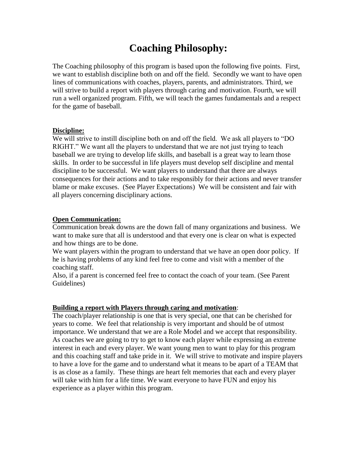# **Coaching Philosophy:**

The Coaching philosophy of this program is based upon the following five points. First, we want to establish discipline both on and off the field. Secondly we want to have open lines of communications with coaches, players, parents, and administrators. Third, we will strive to build a report with players through caring and motivation. Fourth, we will run a well organized program. Fifth, we will teach the games fundamentals and a respect for the game of baseball.

### **Discipline:**

We will strive to instill discipline both on and off the field. We ask all players to "DO RIGHT." We want all the players to understand that we are not just trying to teach baseball we are trying to develop life skills, and baseball is a great way to learn those skills. In order to be successful in life players must develop self discipline and mental discipline to be successful. We want players to understand that there are always consequences for their actions and to take responsibly for their actions and never transfer blame or make excuses. (See Player Expectations) We will be consistent and fair with all players concerning disciplinary actions.

### **Open Communication:**

Communication break downs are the down fall of many organizations and business. We want to make sure that all is understood and that every one is clear on what is expected and how things are to be done.

We want players within the program to understand that we have an open door policy. If he is having problems of any kind feel free to come and visit with a member of the coaching staff.

Also, if a parent is concerned feel free to contact the coach of your team. (See Parent Guidelines)

### **Building a report with Players through caring and motivation**:

The coach/player relationship is one that is very special, one that can be cherished for years to come. We feel that relationship is very important and should be of utmost importance. We understand that we are a Role Model and we accept that responsibility. As coaches we are going to try to get to know each player while expressing an extreme interest in each and every player. We want young men to want to play for this program and this coaching staff and take pride in it. We will strive to motivate and inspire players to have a love for the game and to understand what it means to be apart of a TEAM that is as close as a family. These things are heart felt memories that each and every player will take with him for a life time. We want everyone to have FUN and enjoy his experience as a player within this program.